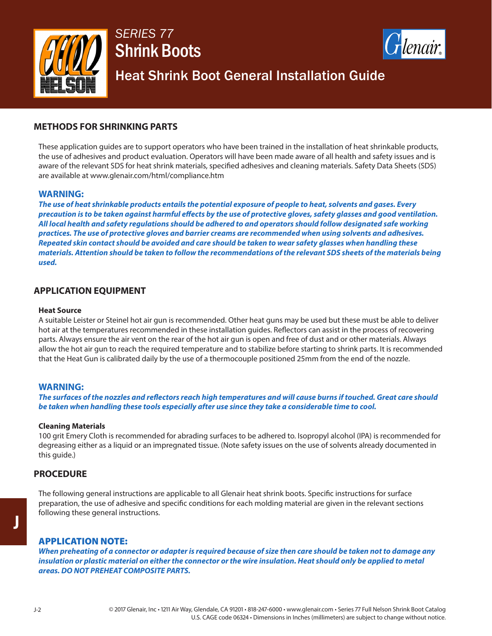



Heat Shrink Boot General Installation Guide

### **METHODS FOR SHRINKING PARTS**

These application guides are to support operators who have been trained in the installation of heat shrinkable products, the use of adhesives and product evaluation. Operators will have been made aware of all health and safety issues and is aware of the relevant SDS for heat shrink materials, specified adhesives and cleaning materials. Safety Data Sheets (SDS) are available at www.glenair.com/html/compliance.htm

### **WARNING:**

*The use of heat shrinkable products entails the potential exposure of people to heat, solvents and gases. Every precaution is to be taken against harmful effects by the use of protective gloves, safety glasses and good ventilation. All local health and safety regulations should be adhered to and operators should follow designated safe working practices. The use of protective gloves and barrier creams are recommended when using solvents and adhesives. Repeated skin contact should be avoided and care should be taken to wear safety glasses when handling these materials. Attention should be taken to follow the recommendations of the relevant SDS sheets of the materials being used.*

### **APPLICATION EQUIPMENT**

#### **Heat Source**

A suitable Leister or Steinel hot air gun is recommended. Other heat guns may be used but these must be able to deliver hot air at the temperatures recommended in these installation guides. Reflectors can assist in the process of recovering parts. Always ensure the air vent on the rear of the hot air gun is open and free of dust and or other materials. Always allow the hot air gun to reach the required temperature and to stabilize before starting to shrink parts. It is recommended that the Heat Gun is calibrated daily by the use of a thermocouple positioned 25mm from the end of the nozzle.

#### **WARNING:**

*The surfaces of the nozzles and reflectors reach high temperatures and will cause burns if touched. Great care should be taken when handling these tools especially after use since they take a considerable time to cool.* 

#### **Cleaning Materials**

100 grit Emery Cloth is recommended for abrading surfaces to be adhered to. Isopropyl alcohol (IPA) is recommended for degreasing either as a liquid or an impregnated tissue. (Note safety issues on the use of solvents already documented in this guide.)

### **PROCEDURE**

The following general instructions are applicable to all Glenair heat shrink boots. Specific instructions for surface preparation, the use of adhesive and specific conditions for each molding material are given in the relevant sections following these general instructions.

### APPLICATION NOTE:

*When preheating of a connector or adapter is required because of size then care should be taken not to damage any*  insulation or plastic material on either the connector or the wire insulation. Heat should only be applied to metal *areas. DO NOT PREHEAT COMPOSITE PARTS.*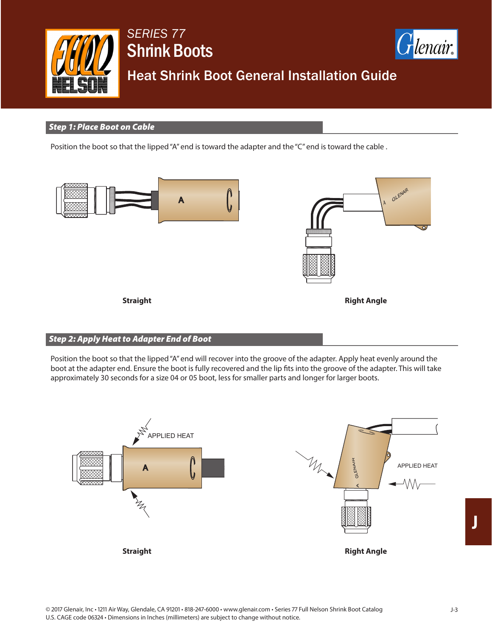



## Heat Shrink Boot General Installation Guide

### *Step 1: Place Boot on Cable*

Position the boot so that the lipped "A" end is toward the adapter and the "C" end is toward the cable .



### *Step 2: Apply Heat to Adapter End of Boot*

Position the boot so that the lipped "A" end will recover into the groove of the adapter. Apply heat evenly around the boot at the adapter end. Ensure the boot is fully recovered and the lip fits into the groove of the adapter. This will take approximately 30 seconds for a size 04 or 05 boot, less for smaller parts and longer for larger boots.

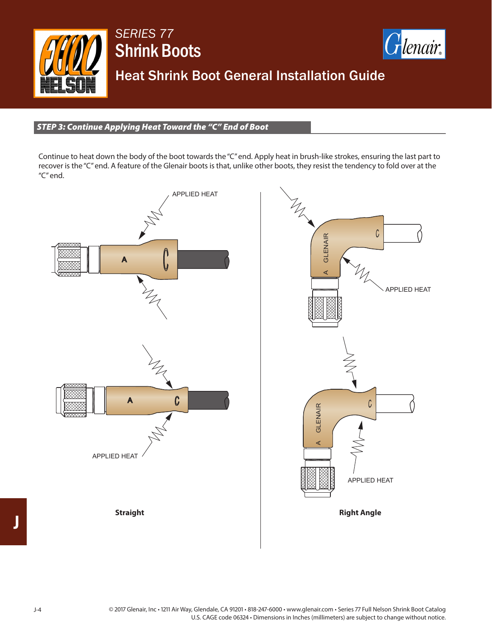



Heat Shrink Boot General Installation Guide

*STEP 3: Continue Applying Heat Toward the "C" End of Boot*

Continue to heat down the body of the boot towards the "C" end. Apply heat in brush-like strokes, ensuring the last part to recover is the "C" end. A feature of the Glenair boots is that, unlike other boots, they resist the tendency to fold over at the "C" end.